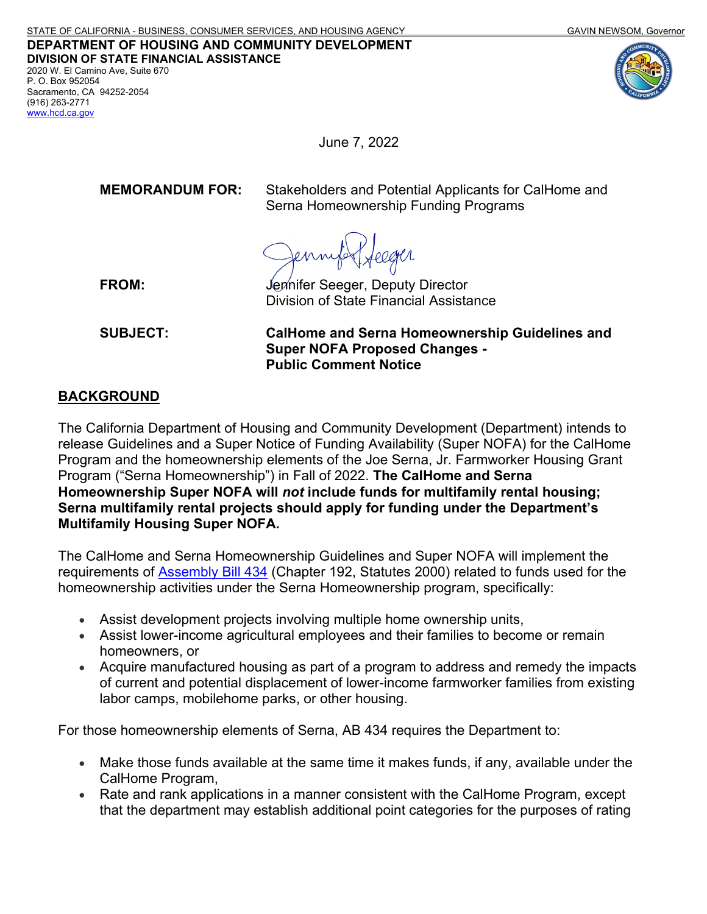## **DEPARTMENT OF HOUSING AND COMMUNITY DEVELOPMENT DIVISION OF STATE FINANCIAL ASSISTANCE**

2020 W. El Camino Ave, Suite 670 P. O. Box 952054 Sacramento, CA 94252-2054 (916) 263-2771 [www.hcd.ca.gov](http://www.hcd.ca.gov/)





June 7, 2022

**MEMORANDUM FOR:** Stakeholders and Potential Applicants for CalHome and Serna Homeownership Funding Programs

**FROM:** Jennifer Seeger, Deputy Director Division of State Financial Assistance

**SUBJECT: CalHome and Serna Homeownership Guidelines and Super NOFA Proposed Changes - Public Comment Notice**

### **BACKGROUND**

The California Department of Housing and Community Development (Department) intends to release Guidelines and a Super Notice of Funding Availability (Super NOFA) for the CalHome Program and the homeownership elements of the Joe Serna, Jr. Farmworker Housing Grant Program ("Serna Homeownership") in Fall of 2022. **The CalHome and Serna Homeownership Super NOFA will** *not* **include funds for multifamily rental housing; Serna multifamily rental projects should apply for funding under the Department's Multifamily Housing Super NOFA.**

The CalHome and Serna Homeownership Guidelines and Super NOFA will implement the requirements of [Assembly Bill 434](https://leginfo.legislature.ca.gov/faces/billNavClient.xhtml?bill_id=201920200AB434) (Chapter 192, Statutes 2000) related to funds used for the homeownership activities under the Serna Homeownership program, specifically:

- Assist development projects involving multiple home ownership units,
- Assist lower-income agricultural employees and their families to become or remain homeowners, or
- Acquire manufactured housing as part of a program to address and remedy the impacts of current and potential displacement of lower-income farmworker families from existing labor camps, mobilehome parks, or other housing.

For those homeownership elements of Serna, AB 434 requires the Department to:

- Make those funds available at the same time it makes funds, if any, available under the CalHome Program,
- Rate and rank applications in a manner consistent with the CalHome Program, except that the department may establish additional point categories for the purposes of rating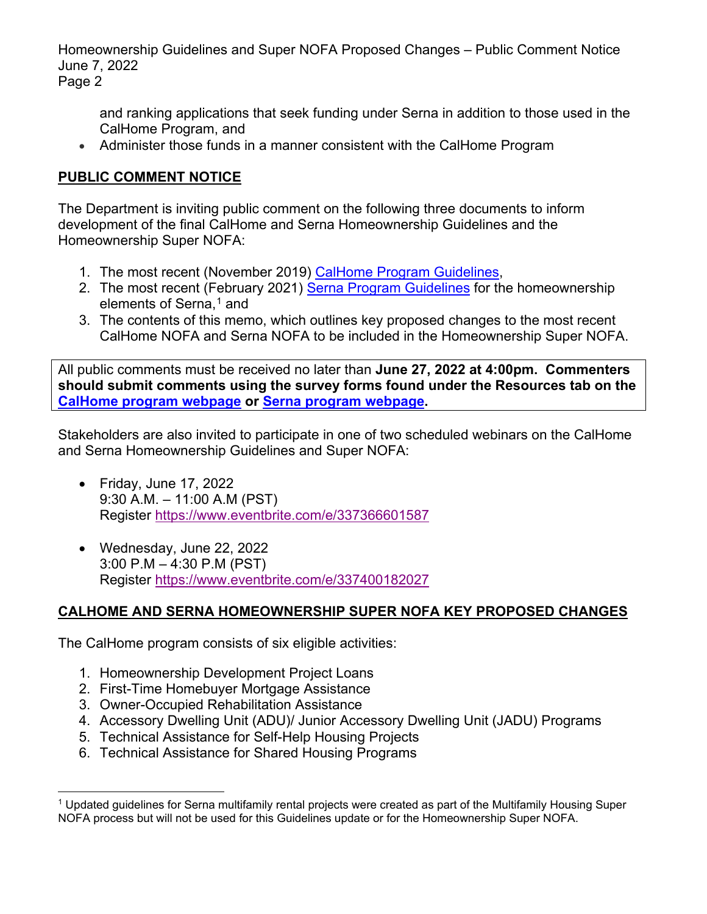and ranking applications that seek funding under Serna in addition to those used in the CalHome Program, and

• Administer those funds in a manner consistent with the CalHome Program

## **PUBLIC COMMENT NOTICE**

The Department is inviting public comment on the following three documents to inform development of the final CalHome and Serna Homeownership Guidelines and the Homeownership Super NOFA:

- 1. The most recent (November 2019) [CalHome Program Guidelines,](https://www.hcd.ca.gov/grants-funding/active-no-funding/calhome/docs/calhome-final-guidelines.pdf)
- 2. The most recent (February 2021) [Serna Program Guidelines](https://www.hcd.ca.gov/grants-funding/active-funding/fwhg/docs/joe%20serna%20jr.%20farmworker%20housing%20grant%20program%20notice%20of%20guidelines.pdf) for the homeownership elements of Serna, [1](#page-1-0) and
- 3. The contents of this memo, which outlines key proposed changes to the most recent CalHome NOFA and Serna NOFA to be included in the Homeownership Super NOFA.

All public comments must be received no later than **June 27, 2022 at 4:00pm. Commenters should submit comments using the survey forms found under the Resources tab on the [CalHome program webpage](https://www.hcd.ca.gov/calhome) or [Serna program webpage.](https://www.hcd.ca.gov/joe-serna-jr-farmworker-housing-grant)** 

Stakeholders are also invited to participate in one of two scheduled webinars on the CalHome and Serna Homeownership Guidelines and Super NOFA:

- Friday, June 17, 2022 9:30 A.M. – 11:00 A.M (PST) Register<https://www.eventbrite.com/e/337366601587>
- Wednesday, June 22, 2022 3:00 P.M – 4:30 P.M (PST) Register<https://www.eventbrite.com/e/337400182027>

## **CALHOME AND SERNA HOMEOWNERSHIP SUPER NOFA KEY PROPOSED CHANGES**

The CalHome program consists of six eligible activities:

- 1. Homeownership Development Project Loans
- 2. First-Time Homebuyer Mortgage Assistance
- 3. Owner-Occupied Rehabilitation Assistance
- 4. Accessory Dwelling Unit (ADU)/ Junior Accessory Dwelling Unit (JADU) Programs
- 5. Technical Assistance for Self-Help Housing Projects
- 6. Technical Assistance for Shared Housing Programs

<span id="page-1-0"></span> $^1$  Updated guidelines for Serna multifamily rental projects were created as part of the Multifamily Housing Super NOFA process but will not be used for this Guidelines update or for the Homeownership Super NOFA.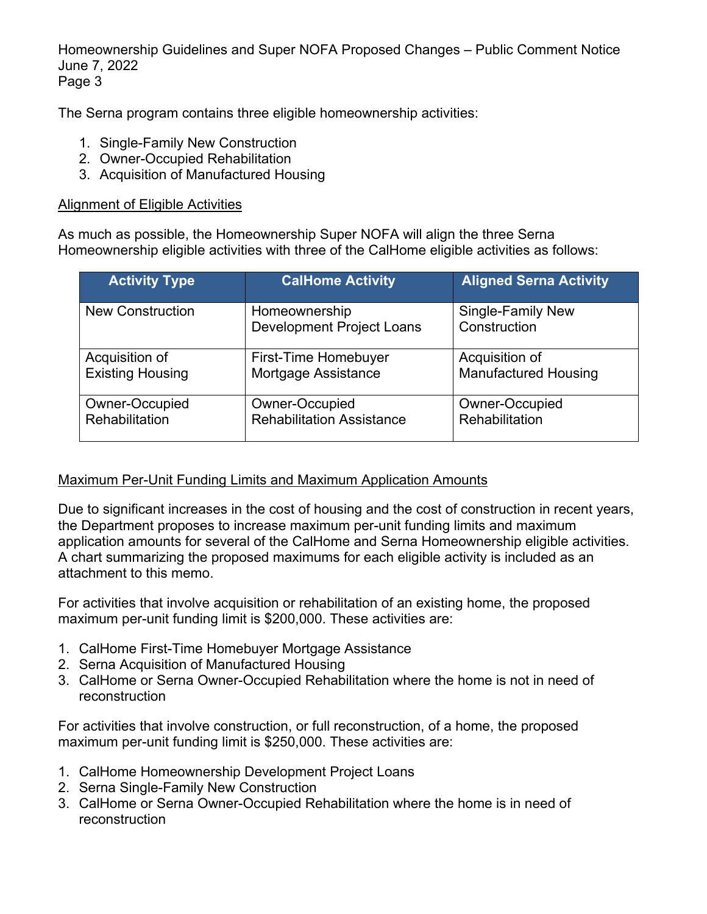The Serna program contains three eligible homeownership activities:

- 1. Single-Family New Construction
- 2. Owner-Occupied Rehabilitation
- 3. Acquisition of Manufactured Housing

#### Alignment of Eligible Activities

As much as possible, the Homeownership Super NOFA will align the three Serna Homeownership eligible activities with three of the CalHome eligible activities as follows:

| <b>Activity Type</b>    | <b>CalHome Activity</b>                           | <b>Aligned Serna Activity</b>            |
|-------------------------|---------------------------------------------------|------------------------------------------|
| <b>New Construction</b> | Homeownership<br><b>Development Project Loans</b> | <b>Single-Family New</b><br>Construction |
| Acquisition of          | First-Time Homebuyer                              | Acquisition of                           |
| <b>Existing Housing</b> | Mortgage Assistance                               | <b>Manufactured Housing</b>              |
| Owner-Occupied          | Owner-Occupied                                    | Owner-Occupied                           |
| Rehabilitation          | <b>Rehabilitation Assistance</b>                  | Rehabilitation                           |

### Maximum Per-Unit Funding Limits and Maximum Application Amounts

Due to significant increases in the cost of housing and the cost of construction in recent years, the Department proposes to increase maximum per-unit funding limits and maximum application amounts for several of the CalHome and Serna Homeownership eligible activities. A chart summarizing the proposed maximums for each eligible activity is included as an attachment to this memo.

For activities that involve acquisition or rehabilitation of an existing home, the proposed maximum per-unit funding limit is \$200,000. These activities are:

- 1. CalHome First-Time Homebuyer Mortgage Assistance
- 2. Serna Acquisition of Manufactured Housing
- 3. CalHome or Serna Owner-Occupied Rehabilitation where the home is not in need of reconstruction

For activities that involve construction, or full reconstruction, of a home, the proposed maximum per-unit funding limit is \$250,000. These activities are:

- 1. CalHome Homeownership Development Project Loans
- 2. Serna Single-Family New Construction
- 3. CalHome or Serna Owner-Occupied Rehabilitation where the home is in need of reconstruction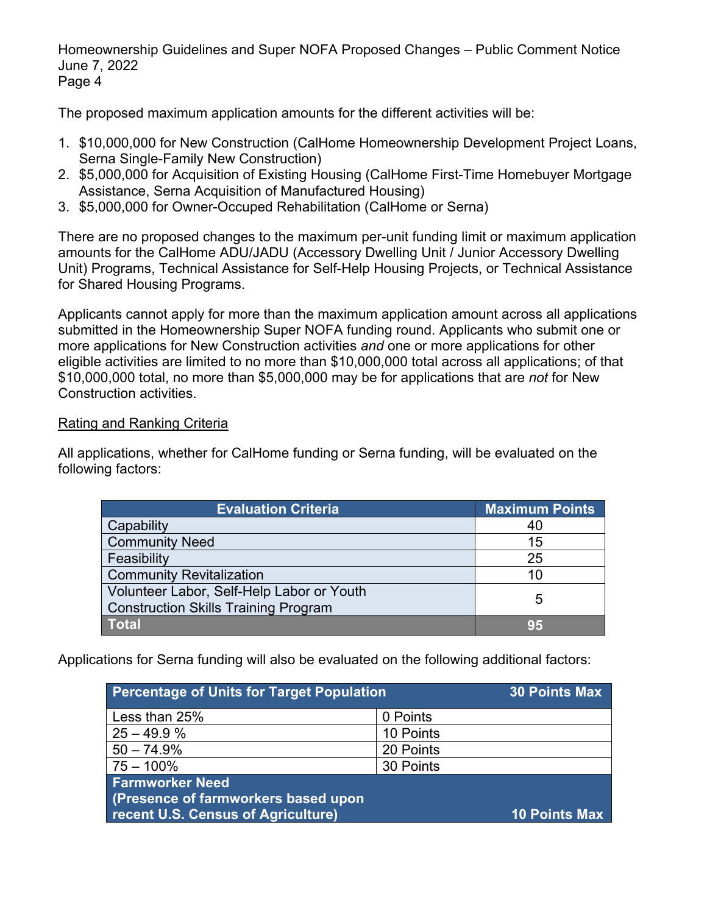The proposed maximum application amounts for the different activities will be:

- 1. \$10,000,000 for New Construction (CalHome Homeownership Development Project Loans, Serna Single-Family New Construction)
- 2. \$5,000,000 for Acquisition of Existing Housing (CalHome First-Time Homebuyer Mortgage Assistance, Serna Acquisition of Manufactured Housing)
- 3. \$5,000,000 for Owner-Occuped Rehabilitation (CalHome or Serna)

There are no proposed changes to the maximum per-unit funding limit or maximum application amounts for the CalHome ADU/JADU (Accessory Dwelling Unit / Junior Accessory Dwelling Unit) Programs, Technical Assistance for Self-Help Housing Projects, or Technical Assistance for Shared Housing Programs.

Applicants cannot apply for more than the maximum application amount across all applications submitted in the Homeownership Super NOFA funding round. Applicants who submit one or more applications for New Construction activities *and* one or more applications for other eligible activities are limited to no more than \$10,000,000 total across all applications; of that \$10,000,000 total, no more than \$5,000,000 may be for applications that are *not* for New Construction activities.

### Rating and Ranking Criteria

All applications, whether for CalHome funding or Serna funding, will be evaluated on the following factors:

| <b>Evaluation Criteria</b>                                                               | <b>Maximum Points</b> |
|------------------------------------------------------------------------------------------|-----------------------|
| Capability                                                                               | 40                    |
| <b>Community Need</b>                                                                    | 15                    |
| Feasibility                                                                              | 25                    |
| <b>Community Revitalization</b>                                                          | 10                    |
| Volunteer Labor, Self-Help Labor or Youth<br><b>Construction Skills Training Program</b> | 5                     |
| <b>Total</b>                                                                             | 95                    |

Applications for Serna funding will also be evaluated on the following additional factors:

| <b>Percentage of Units for Target Population</b> |           | <b>30 Points Max</b> |
|--------------------------------------------------|-----------|----------------------|
| Less than 25%                                    | 0 Points  |                      |
| $25 - 49.9%$                                     | 10 Points |                      |
| $50 - 74.9%$                                     | 20 Points |                      |
| $75 - 100\%$                                     | 30 Points |                      |
| <b>Farmworker Need</b>                           |           |                      |
| (Presence of farmworkers based upon              |           |                      |
| <b>recent U.S. Census of Agriculture)</b>        |           | 10 Points Max        |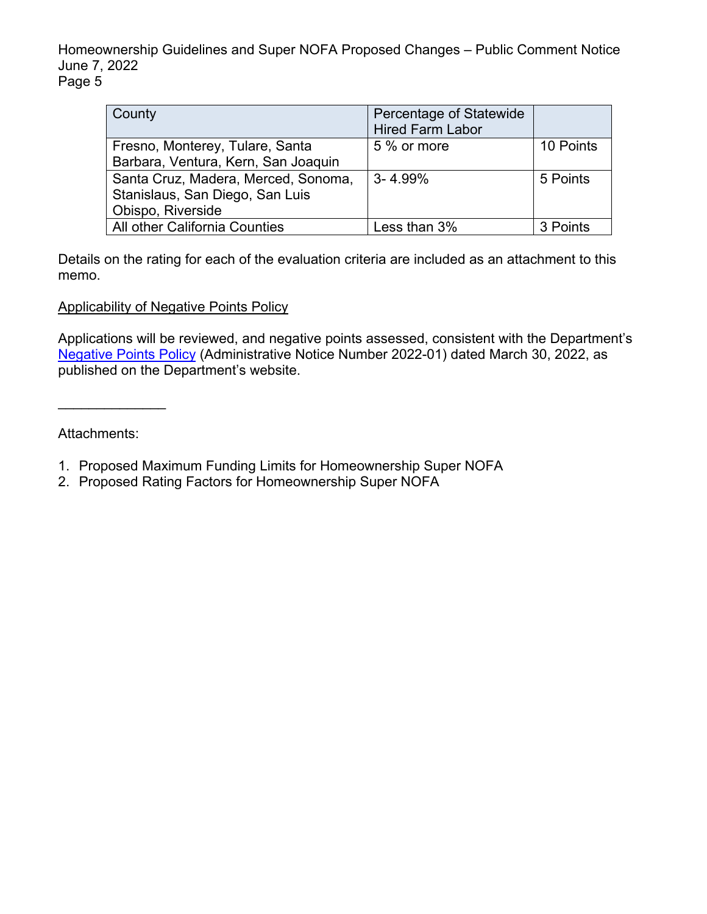| County                              | Percentage of Statewide<br><b>Hired Farm Labor</b> |           |
|-------------------------------------|----------------------------------------------------|-----------|
| Fresno, Monterey, Tulare, Santa     | 5 % or more                                        | 10 Points |
| Barbara, Ventura, Kern, San Joaquin |                                                    |           |
| Santa Cruz, Madera, Merced, Sonoma, | $3 - 4.99\%$                                       | 5 Points  |
| Stanislaus, San Diego, San Luis     |                                                    |           |
| Obispo, Riverside                   |                                                    |           |
| All other California Counties       | Less than 3%                                       | 3 Points  |

Details on the rating for each of the evaluation criteria are included as an attachment to this memo.

Applicability of Negative Points Policy

Applications will be reviewed, and negative points assessed, consistent with the Department's [Negative Points Policy](https://www.hcd.ca.gov/sites/default/files/2022-04/Negative-Points-Policy-FINAL-33022_ADA.pdf) (Administrative Notice Number 2022-01) dated March 30, 2022, as published on the Department's website.

Attachments:

\_\_\_\_\_\_\_\_\_\_\_\_\_\_

- 1. Proposed Maximum Funding Limits for Homeownership Super NOFA
- 2. Proposed Rating Factors for Homeownership Super NOFA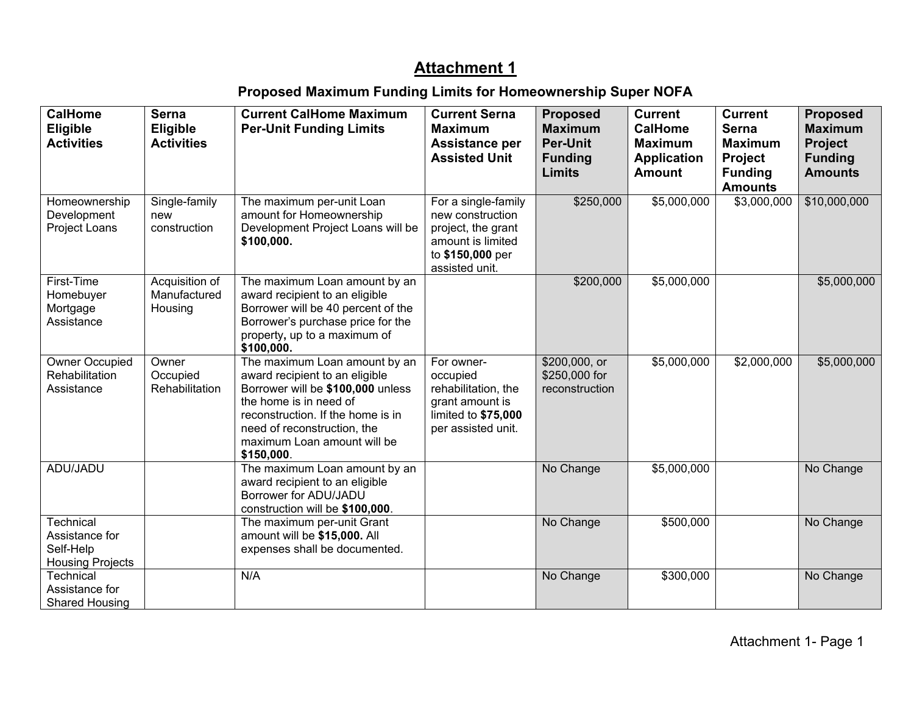## **Attachment 1**

# **Proposed Maximum Funding Limits for Homeownership Super NOFA**

| <b>CalHome</b><br>Eligible                                                 | <b>Serna</b><br><b>Eligible</b>           | <b>Current CalHome Maximum</b><br><b>Per-Unit Funding Limits</b>                                                                                                                                                                                | <b>Current Serna</b><br><b>Maximum</b>                                                                                   | <b>Proposed</b><br><b>Maximum</b>                  | <b>Current</b><br><b>CalHome</b>                      | <b>Current</b><br><b>Serna</b>                                | <b>Proposed</b><br><b>Maximum</b>                  |
|----------------------------------------------------------------------------|-------------------------------------------|-------------------------------------------------------------------------------------------------------------------------------------------------------------------------------------------------------------------------------------------------|--------------------------------------------------------------------------------------------------------------------------|----------------------------------------------------|-------------------------------------------------------|---------------------------------------------------------------|----------------------------------------------------|
| <b>Activities</b>                                                          | <b>Activities</b>                         |                                                                                                                                                                                                                                                 | Assistance per<br><b>Assisted Unit</b>                                                                                   | <b>Per-Unit</b><br><b>Funding</b><br><b>Limits</b> | <b>Maximum</b><br><b>Application</b><br><b>Amount</b> | <b>Maximum</b><br>Project<br><b>Funding</b><br><b>Amounts</b> | <b>Project</b><br><b>Funding</b><br><b>Amounts</b> |
| Homeownership<br>Development<br>Project Loans                              | Single-family<br>new<br>construction      | The maximum per-unit Loan<br>amount for Homeownership<br>Development Project Loans will be<br>\$100,000.                                                                                                                                        | For a single-family<br>new construction<br>project, the grant<br>amount is limited<br>to \$150,000 per<br>assisted unit. | \$250,000                                          | \$5,000,000                                           | \$3,000,000                                                   | \$10,000,000                                       |
| First-Time<br>Homebuyer<br>Mortgage<br>Assistance                          | Acquisition of<br>Manufactured<br>Housing | The maximum Loan amount by an<br>award recipient to an eligible<br>Borrower will be 40 percent of the<br>Borrower's purchase price for the<br>property, up to a maximum of<br>\$100,000.                                                        |                                                                                                                          | \$200,000                                          | \$5,000,000                                           |                                                               | \$5,000,000                                        |
| <b>Owner Occupied</b><br>Rehabilitation<br>Assistance                      | Owner<br>Occupied<br>Rehabilitation       | The maximum Loan amount by an<br>award recipient to an eligible<br>Borrower will be \$100,000 unless<br>the home is in need of<br>reconstruction. If the home is in<br>need of reconstruction, the<br>maximum Loan amount will be<br>\$150,000. | For owner-<br>occupied<br>rehabilitation, the<br>grant amount is<br>limited to \$75,000<br>per assisted unit.            | \$200,000, or<br>\$250,000 for<br>reconstruction   | \$5,000,000                                           | \$2,000,000                                                   | \$5,000,000                                        |
| ADU/JADU                                                                   |                                           | The maximum Loan amount by an<br>award recipient to an eligible<br>Borrower for ADU/JADU<br>construction will be \$100,000.                                                                                                                     |                                                                                                                          | No Change                                          | \$5,000,000                                           |                                                               | No Change                                          |
| <b>Technical</b><br>Assistance for<br>Self-Help<br><b>Housing Projects</b> |                                           | The maximum per-unit Grant<br>amount will be \$15,000. All<br>expenses shall be documented.                                                                                                                                                     |                                                                                                                          | No Change                                          | \$500,000                                             |                                                               | No Change                                          |
| Technical<br>Assistance for<br><b>Shared Housing</b>                       |                                           | N/A                                                                                                                                                                                                                                             |                                                                                                                          | No Change                                          | \$300,000                                             |                                                               | No Change                                          |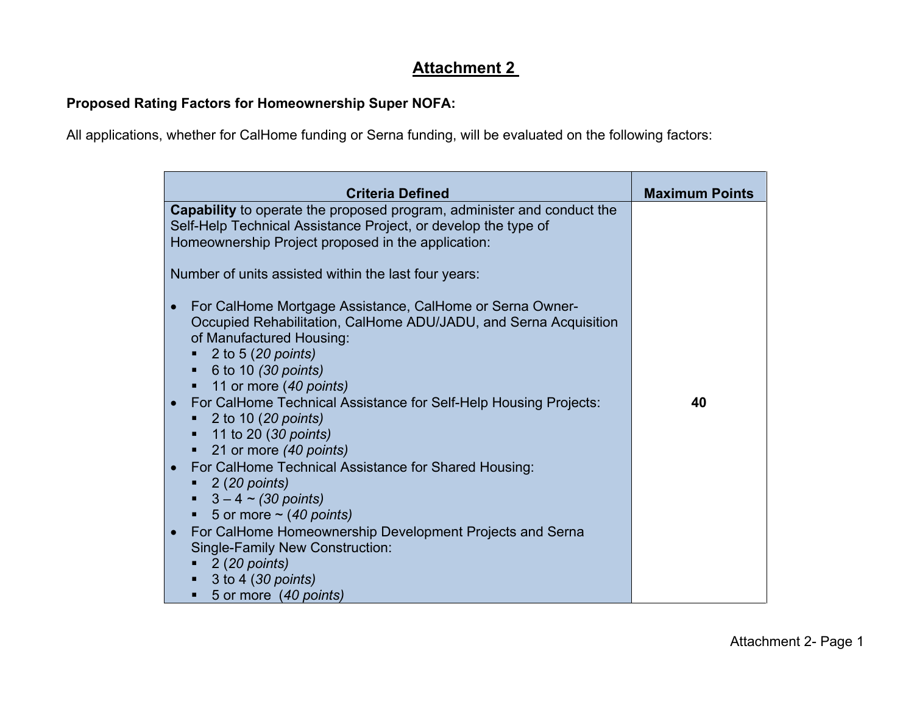## **Attachment 2**

## **Proposed Rating Factors for Homeownership Super NOFA:**

All applications, whether for CalHome funding or Serna funding, will be evaluated on the following factors:

| <b>Criteria Defined</b>                                                                                                                                                                                                                                                                                                                      | <b>Maximum Points</b> |
|----------------------------------------------------------------------------------------------------------------------------------------------------------------------------------------------------------------------------------------------------------------------------------------------------------------------------------------------|-----------------------|
| Capability to operate the proposed program, administer and conduct the<br>Self-Help Technical Assistance Project, or develop the type of<br>Homeownership Project proposed in the application:                                                                                                                                               |                       |
| Number of units assisted within the last four years:                                                                                                                                                                                                                                                                                         |                       |
| For CalHome Mortgage Assistance, CalHome or Serna Owner-<br>$\bullet$<br>Occupied Rehabilitation, CalHome ADU/JADU, and Serna Acquisition<br>of Manufactured Housing:<br>2 to 5 (20 points)<br>6 to 10 (30 points)<br>п<br>11 or more (40 points)<br>For CalHome Technical Assistance for Self-Help Housing Projects:<br>2 to 10 (20 points) | 40                    |
| 11 to 20 (30 points)<br>٠<br>21 or more (40 points)<br>٠                                                                                                                                                                                                                                                                                     |                       |
| For CalHome Technical Assistance for Shared Housing:<br>$\blacksquare$ 2 (20 points)<br>$\bullet$ 3 – 4 ~ (30 points)<br>■ 5 or more $\sim$ (40 points)                                                                                                                                                                                      |                       |
| For CalHome Homeownership Development Projects and Serna<br>$\bullet$<br><b>Single-Family New Construction:</b><br>2 (20 points)<br>3 to 4 (30 points)<br>٠<br>5 or more (40 points)                                                                                                                                                         |                       |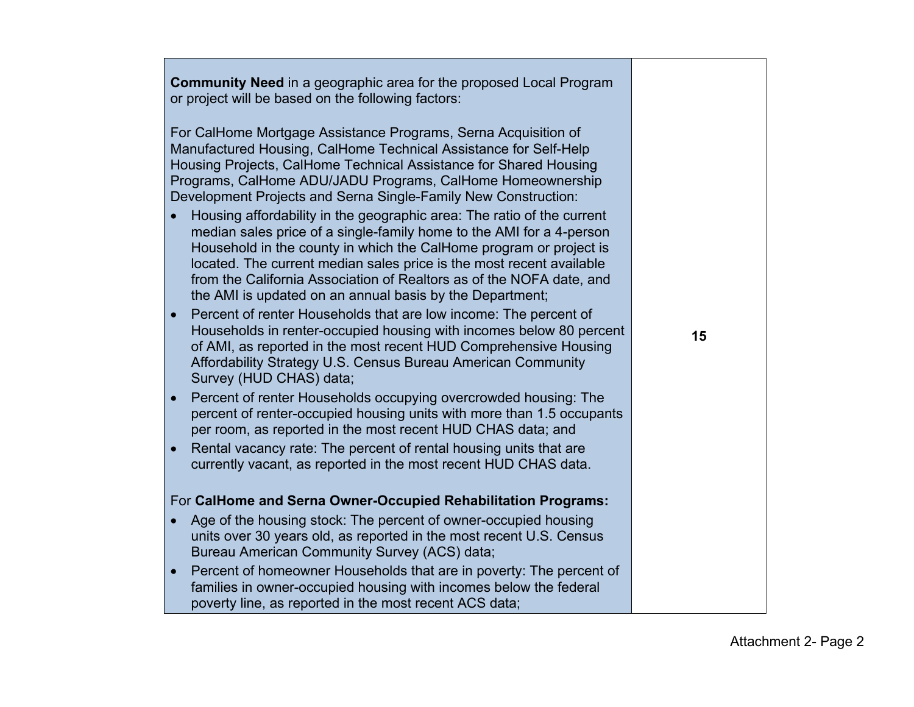|           | <b>Community Need</b> in a geographic area for the proposed Local Program<br>or project will be based on the following factors:                                                                                                                                                                                                                                                                                                  |    |
|-----------|----------------------------------------------------------------------------------------------------------------------------------------------------------------------------------------------------------------------------------------------------------------------------------------------------------------------------------------------------------------------------------------------------------------------------------|----|
|           | For CalHome Mortgage Assistance Programs, Serna Acquisition of<br>Manufactured Housing, CalHome Technical Assistance for Self-Help<br>Housing Projects, CalHome Technical Assistance for Shared Housing<br>Programs, CalHome ADU/JADU Programs, CalHome Homeownership<br>Development Projects and Serna Single-Family New Construction:                                                                                          |    |
|           | Housing affordability in the geographic area: The ratio of the current<br>median sales price of a single-family home to the AMI for a 4-person<br>Household in the county in which the CalHome program or project is<br>located. The current median sales price is the most recent available<br>from the California Association of Realtors as of the NOFA date, and<br>the AMI is updated on an annual basis by the Department; |    |
| $\bullet$ | Percent of renter Households that are low income: The percent of<br>Households in renter-occupied housing with incomes below 80 percent<br>of AMI, as reported in the most recent HUD Comprehensive Housing<br>Affordability Strategy U.S. Census Bureau American Community<br>Survey (HUD CHAS) data;                                                                                                                           | 15 |
| $\bullet$ | Percent of renter Households occupying overcrowded housing: The<br>percent of renter-occupied housing units with more than 1.5 occupants<br>per room, as reported in the most recent HUD CHAS data; and                                                                                                                                                                                                                          |    |
| $\bullet$ | Rental vacancy rate: The percent of rental housing units that are<br>currently vacant, as reported in the most recent HUD CHAS data.                                                                                                                                                                                                                                                                                             |    |
|           | For CalHome and Serna Owner-Occupied Rehabilitation Programs:                                                                                                                                                                                                                                                                                                                                                                    |    |
|           | Age of the housing stock: The percent of owner-occupied housing<br>units over 30 years old, as reported in the most recent U.S. Census<br>Bureau American Community Survey (ACS) data;                                                                                                                                                                                                                                           |    |
| $\bullet$ | Percent of homeowner Households that are in poverty: The percent of<br>families in owner-occupied housing with incomes below the federal<br>poverty line, as reported in the most recent ACS data;                                                                                                                                                                                                                               |    |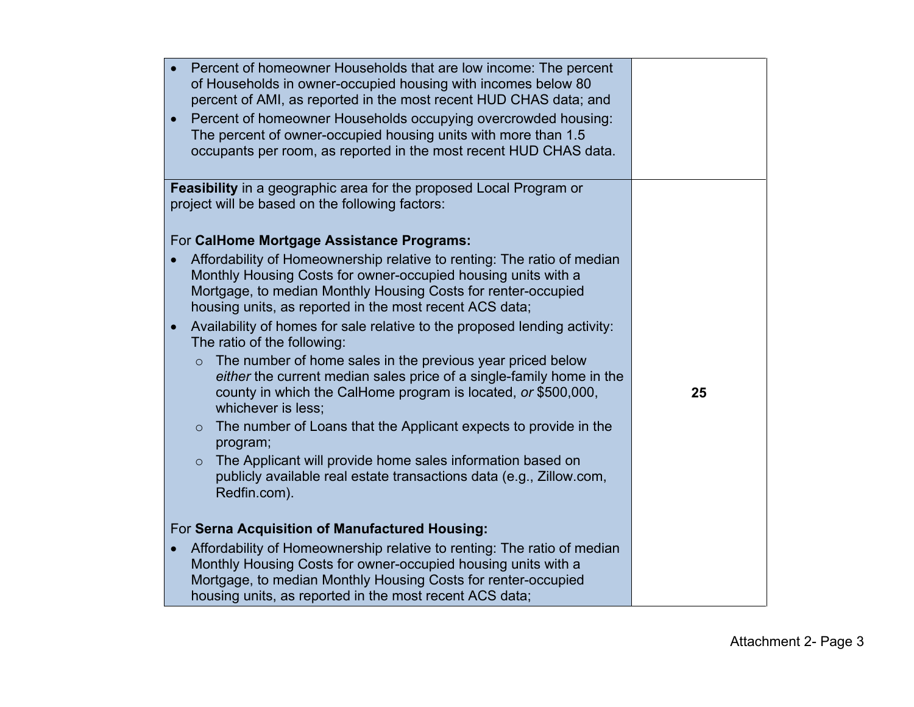| Percent of homeowner Households that are low income: The percent                                                                      |    |
|---------------------------------------------------------------------------------------------------------------------------------------|----|
| of Households in owner-occupied housing with incomes below 80                                                                         |    |
| percent of AMI, as reported in the most recent HUD CHAS data; and                                                                     |    |
| Percent of homeowner Households occupying overcrowded housing:<br>$\bullet$                                                           |    |
| The percent of owner-occupied housing units with more than 1.5                                                                        |    |
| occupants per room, as reported in the most recent HUD CHAS data.                                                                     |    |
|                                                                                                                                       |    |
| Feasibility in a geographic area for the proposed Local Program or                                                                    |    |
| project will be based on the following factors:                                                                                       |    |
|                                                                                                                                       |    |
| For CalHome Mortgage Assistance Programs:                                                                                             |    |
| Affordability of Homeownership relative to renting: The ratio of median                                                               |    |
| Monthly Housing Costs for owner-occupied housing units with a                                                                         |    |
| Mortgage, to median Monthly Housing Costs for renter-occupied                                                                         |    |
| housing units, as reported in the most recent ACS data;                                                                               |    |
| Availability of homes for sale relative to the proposed lending activity:<br>$\bullet$                                                |    |
| The ratio of the following:                                                                                                           |    |
| The number of home sales in the previous year priced below<br>$\circ$                                                                 |    |
| either the current median sales price of a single-family home in the<br>county in which the CalHome program is located, or \$500,000, | 25 |
| whichever is less;                                                                                                                    |    |
| The number of Loans that the Applicant expects to provide in the<br>$\circ$                                                           |    |
| program;                                                                                                                              |    |
| The Applicant will provide home sales information based on<br>$\circ$                                                                 |    |
| publicly available real estate transactions data (e.g., Zillow.com,                                                                   |    |
| Redfin.com).                                                                                                                          |    |
|                                                                                                                                       |    |
| For Serna Acquisition of Manufactured Housing:                                                                                        |    |
| Affordability of Homeownership relative to renting: The ratio of median<br>$\bullet$                                                  |    |
| Monthly Housing Costs for owner-occupied housing units with a                                                                         |    |
| Mortgage, to median Monthly Housing Costs for renter-occupied                                                                         |    |
| housing units, as reported in the most recent ACS data;                                                                               |    |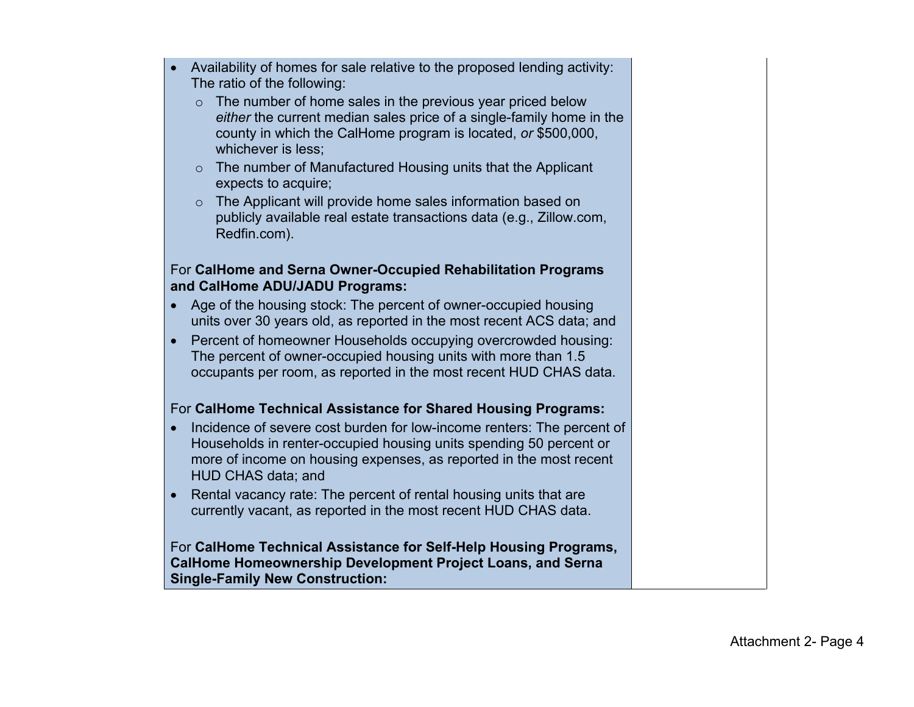- Availability of homes for sale relative to the proposed lending activity: The ratio of the following:
	- $\circ$  The number of home sales in the previous year priced below *either* the current median sales price of a single-family home in the county in which the CalHome program is located, *or* \$500,000, whichever is less;
	- o The number of Manufactured Housing units that the Applicant expects to acquire;
	- o The Applicant will provide home sales information based on publicly available real estate transactions data (e.g., Zillow.com, Redfin.com).

### For **CalHome and Serna Owner-Occupied Rehabilitation Programs and CalHome ADU/JADU Programs:**

- Age of the housing stock: The percent of owner-occupied housing units over 30 years old, as reported in the most recent ACS data; and
- Percent of homeowner Households occupying overcrowded housing: The percent of owner-occupied housing units with more than 1.5 occupants per room, as reported in the most recent HUD CHAS data.

## For **CalHome Technical Assistance for Shared Housing Programs:**

- Incidence of severe cost burden for low-income renters: The percent of Households in renter-occupied housing units spending 50 percent or more of income on housing expenses, as reported in the most recent HUD CHAS data; and
- Rental vacancy rate: The percent of rental housing units that are currently vacant, as reported in the most recent HUD CHAS data.

For **CalHome Technical Assistance for Self-Help Housing Programs, CalHome Homeownership Development Project Loans, and Serna Single-Family New Construction:**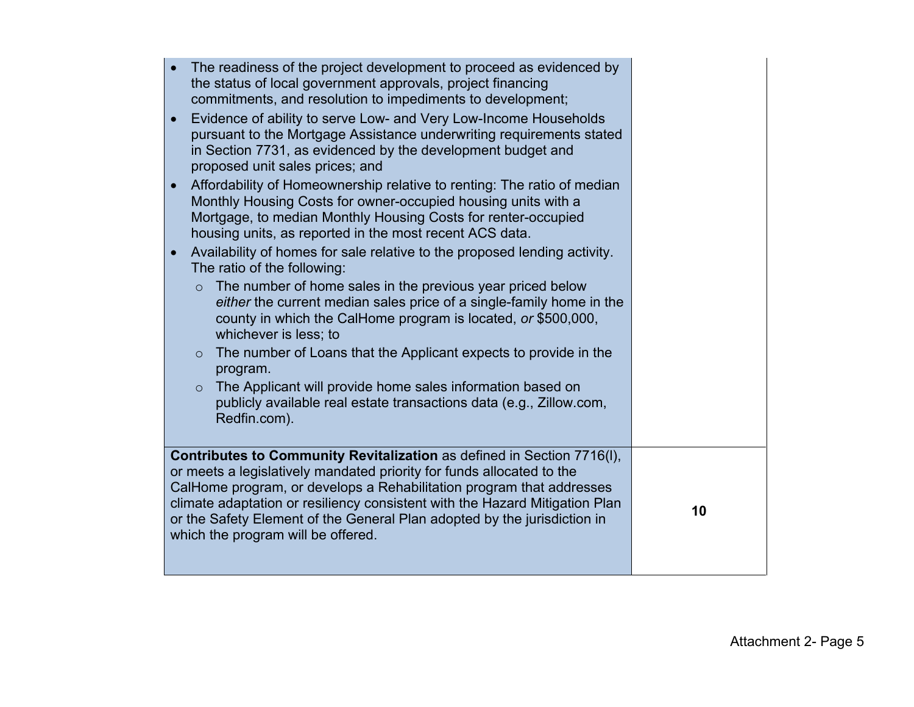| The readiness of the project development to proceed as evidenced by<br>the status of local government approvals, project financing<br>commitments, and resolution to impediments to development;<br>Evidence of ability to serve Low- and Very Low-Income Households                                                                                                                                                     |
|--------------------------------------------------------------------------------------------------------------------------------------------------------------------------------------------------------------------------------------------------------------------------------------------------------------------------------------------------------------------------------------------------------------------------|
| pursuant to the Mortgage Assistance underwriting requirements stated<br>in Section 7731, as evidenced by the development budget and<br>proposed unit sales prices; and                                                                                                                                                                                                                                                   |
| Affordability of Homeownership relative to renting: The ratio of median<br>Monthly Housing Costs for owner-occupied housing units with a<br>Mortgage, to median Monthly Housing Costs for renter-occupied<br>housing units, as reported in the most recent ACS data.                                                                                                                                                     |
| Availability of homes for sale relative to the proposed lending activity.<br>The ratio of the following:                                                                                                                                                                                                                                                                                                                 |
| The number of home sales in the previous year priced below<br>$\circ$<br>either the current median sales price of a single-family home in the<br>county in which the CalHome program is located, or \$500,000,<br>whichever is less; to                                                                                                                                                                                  |
| The number of Loans that the Applicant expects to provide in the<br>$\circ$<br>program.                                                                                                                                                                                                                                                                                                                                  |
| The Applicant will provide home sales information based on<br>$\circ$<br>publicly available real estate transactions data (e.g., Zillow.com,<br>Redfin.com).                                                                                                                                                                                                                                                             |
| Contributes to Community Revitalization as defined in Section 7716(I),<br>or meets a legislatively mandated priority for funds allocated to the<br>CalHome program, or develops a Rehabilitation program that addresses<br>climate adaptation or resiliency consistent with the Hazard Mitigation Plan<br>or the Safety Element of the General Plan adopted by the jurisdiction in<br>which the program will be offered. |
|                                                                                                                                                                                                                                                                                                                                                                                                                          |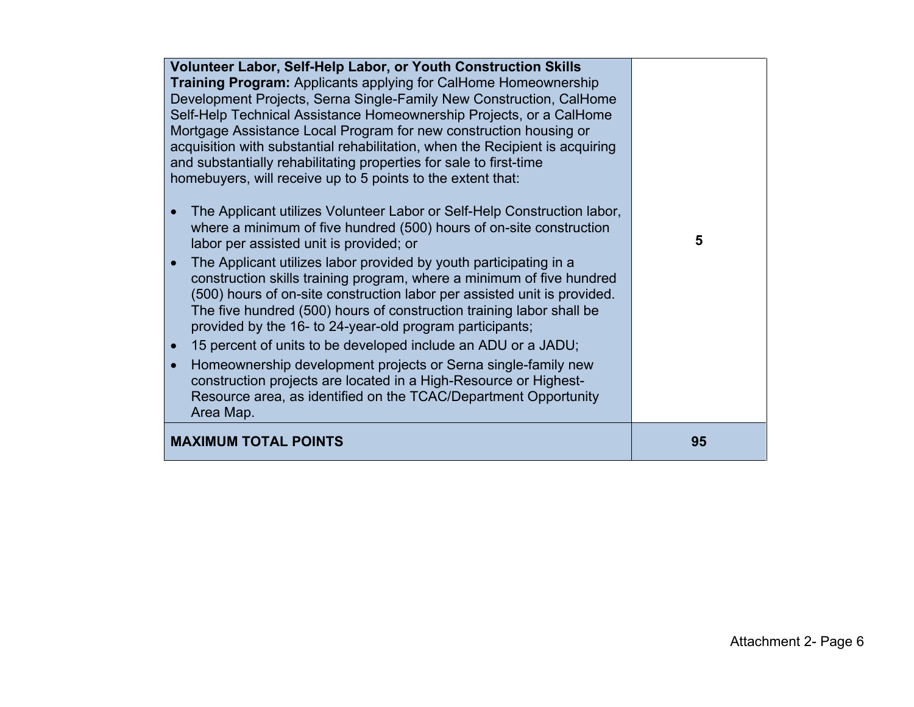| <b>Volunteer Labor, Self-Help Labor, or Youth Construction Skills</b><br><b>Training Program:</b> Applicants applying for CalHome Homeownership<br>Development Projects, Serna Single-Family New Construction, CalHome<br>Self-Help Technical Assistance Homeownership Projects, or a CalHome<br>Mortgage Assistance Local Program for new construction housing or<br>acquisition with substantial rehabilitation, when the Recipient is acquiring<br>and substantially rehabilitating properties for sale to first-time<br>homebuyers, will receive up to 5 points to the extent that:<br>The Applicant utilizes Volunteer Labor or Self-Help Construction labor,<br>where a minimum of five hundred (500) hours of on-site construction<br>labor per assisted unit is provided; or<br>The Applicant utilizes labor provided by youth participating in a<br>$\bullet$<br>construction skills training program, where a minimum of five hundred<br>(500) hours of on-site construction labor per assisted unit is provided.<br>The five hundred (500) hours of construction training labor shall be<br>provided by the 16- to 24-year-old program participants;<br>15 percent of units to be developed include an ADU or a JADU;<br>$\bullet$<br>Homeownership development projects or Serna single-family new<br>$\bullet$<br>construction projects are located in a High-Resource or Highest-<br>Resource area, as identified on the TCAC/Department Opportunity<br>Area Map. | 5  |
|---------------------------------------------------------------------------------------------------------------------------------------------------------------------------------------------------------------------------------------------------------------------------------------------------------------------------------------------------------------------------------------------------------------------------------------------------------------------------------------------------------------------------------------------------------------------------------------------------------------------------------------------------------------------------------------------------------------------------------------------------------------------------------------------------------------------------------------------------------------------------------------------------------------------------------------------------------------------------------------------------------------------------------------------------------------------------------------------------------------------------------------------------------------------------------------------------------------------------------------------------------------------------------------------------------------------------------------------------------------------------------------------------------------------------------------------------------------------------------|----|
| <b>MAXIMUM TOTAL POINTS</b>                                                                                                                                                                                                                                                                                                                                                                                                                                                                                                                                                                                                                                                                                                                                                                                                                                                                                                                                                                                                                                                                                                                                                                                                                                                                                                                                                                                                                                                     | 95 |